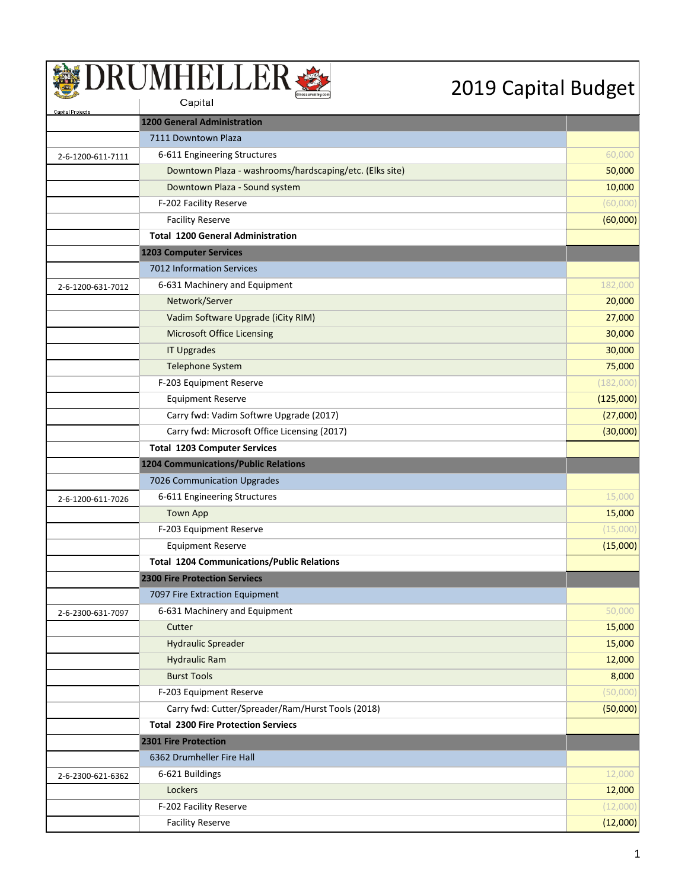| Capital Projects  |                                                         |           |
|-------------------|---------------------------------------------------------|-----------|
|                   | <b>1200 General Administration</b>                      |           |
|                   | 7111 Downtown Plaza                                     |           |
| 2-6-1200-611-7111 | 6-611 Engineering Structures                            | 60,000    |
|                   | Downtown Plaza - washrooms/hardscaping/etc. (Elks site) | 50,000    |
|                   | Downtown Plaza - Sound system                           | 10,000    |
|                   | F-202 Facility Reserve                                  | (60,000)  |
|                   | <b>Facility Reserve</b>                                 | (60,000)  |
|                   | <b>Total 1200 General Administration</b>                |           |
|                   | <b>1203 Computer Services</b>                           |           |
|                   | 7012 Information Services                               |           |
| 2-6-1200-631-7012 | 6-631 Machinery and Equipment                           | 182,000   |
|                   | Network/Server                                          | 20,000    |
|                   | Vadim Software Upgrade (iCity RIM)                      | 27,000    |
|                   | <b>Microsoft Office Licensing</b>                       | 30,000    |
|                   | <b>IT Upgrades</b>                                      | 30,000    |
|                   | <b>Telephone System</b>                                 | 75,000    |
|                   | F-203 Equipment Reserve                                 | (182,000) |
|                   | <b>Equipment Reserve</b>                                | (125,000) |
|                   | Carry fwd: Vadim Softwre Upgrade (2017)                 | (27,000)  |
|                   | Carry fwd: Microsoft Office Licensing (2017)            | (30,000)  |
|                   | <b>Total 1203 Computer Services</b>                     |           |
|                   | <b>1204 Communications/Public Relations</b>             |           |
|                   | 7026 Communication Upgrades                             |           |
| 2-6-1200-611-7026 | 6-611 Engineering Structures                            | 15,000    |
|                   | <b>Town App</b>                                         | 15,000    |
|                   | F-203 Equipment Reserve                                 | (15,000)  |
|                   | <b>Equipment Reserve</b>                                | (15,000)  |
|                   | <b>Total 1204 Communications/Public Relations</b>       |           |
|                   | <b>2300 Fire Protection Serviecs</b>                    |           |
|                   | 7097 Fire Extraction Equipment                          |           |
| 2-6-2300-631-7097 | 6-631 Machinery and Equipment                           | 50,000    |
|                   | Cutter                                                  | 15,000    |
|                   | <b>Hydraulic Spreader</b>                               | 15,000    |
|                   | <b>Hydraulic Ram</b>                                    | 12,000    |
|                   | <b>Burst Tools</b>                                      | 8,000     |
|                   | F-203 Equipment Reserve                                 | (50,000)  |
|                   | Carry fwd: Cutter/Spreader/Ram/Hurst Tools (2018)       | (50,000)  |
|                   | <b>Total 2300 Fire Protection Serviecs</b>              |           |
|                   | 2301 Fire Protection                                    |           |
|                   | 6362 Drumheller Fire Hall                               |           |
| 2-6-2300-621-6362 | 6-621 Buildings                                         | 12,000    |
|                   | Lockers                                                 | 12,000    |
|                   | F-202 Facility Reserve                                  | (12,000)  |
|                   | <b>Facility Reserve</b>                                 | (12,000)  |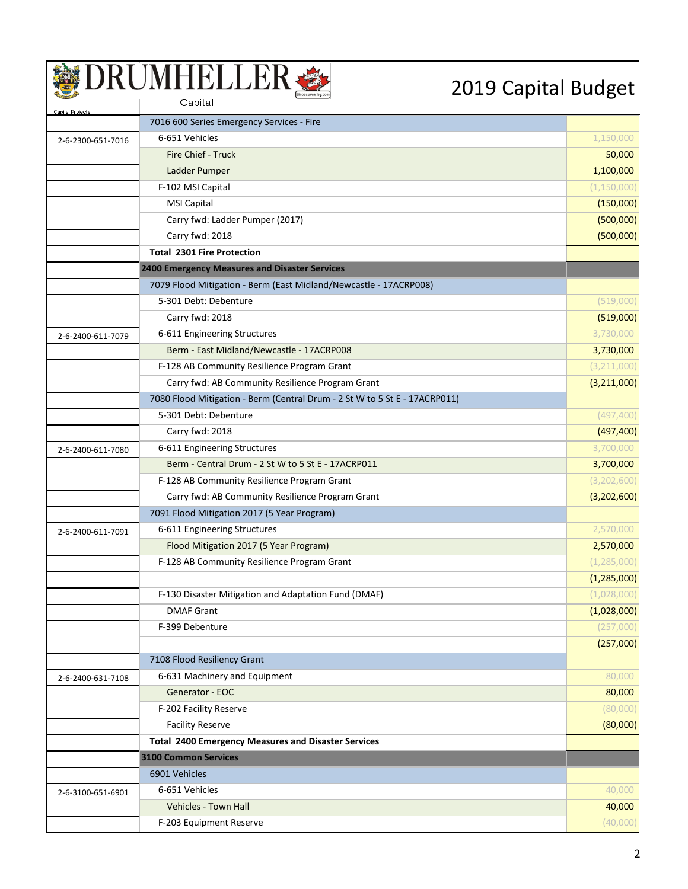| Capital Projects  |                                                                            |               |
|-------------------|----------------------------------------------------------------------------|---------------|
|                   | 7016 600 Series Emergency Services - Fire                                  |               |
| 2-6-2300-651-7016 | 6-651 Vehicles                                                             | 1,150,000     |
|                   | Fire Chief - Truck                                                         | 50,000        |
|                   | Ladder Pumper                                                              | 1,100,000     |
|                   | F-102 MSI Capital                                                          | (1, 150, 000) |
|                   | <b>MSI Capital</b>                                                         | (150,000)     |
|                   | Carry fwd: Ladder Pumper (2017)                                            | (500,000)     |
|                   | Carry fwd: 2018                                                            | (500,000)     |
|                   | <b>Total 2301 Fire Protection</b>                                          |               |
|                   | <b>2400 Emergency Measures and Disaster Services</b>                       |               |
|                   | 7079 Flood Mitigation - Berm (East Midland/Newcastle - 17ACRP008)          |               |
|                   | 5-301 Debt: Debenture                                                      | (519,000)     |
|                   | Carry fwd: 2018                                                            | (519,000)     |
| 2-6-2400-611-7079 | 6-611 Engineering Structures                                               | 3,730,000     |
|                   | Berm - East Midland/Newcastle - 17ACRP008                                  | 3,730,000     |
|                   | F-128 AB Community Resilience Program Grant                                | (3, 211, 000) |
|                   | Carry fwd: AB Community Resilience Program Grant                           | (3, 211, 000) |
|                   | 7080 Flood Mitigation - Berm (Central Drum - 2 St W to 5 St E - 17ACRP011) |               |
|                   | 5-301 Debt: Debenture                                                      | (497, 400)    |
|                   | Carry fwd: 2018                                                            | (497, 400)    |
| 2-6-2400-611-7080 | 6-611 Engineering Structures                                               | 3,700,000     |
|                   | Berm - Central Drum - 2 St W to 5 St E - 17ACRP011                         | 3,700,000     |
|                   | F-128 AB Community Resilience Program Grant                                | (3, 202, 600) |
|                   | Carry fwd: AB Community Resilience Program Grant                           | (3,202,600)   |
|                   | 7091 Flood Mitigation 2017 (5 Year Program)                                |               |
| 2-6-2400-611-7091 | 6-611 Engineering Structures                                               | 2,570,000     |
|                   | Flood Mitigation 2017 (5 Year Program)                                     | 2,570,000     |
|                   | F-128 AB Community Resilience Program Grant                                | (1, 285, 000) |
|                   |                                                                            | (1,285,000)   |
|                   | F-130 Disaster Mitigation and Adaptation Fund (DMAF)                       | (1,028,000)   |
|                   | <b>DMAF Grant</b>                                                          | (1,028,000)   |
|                   | F-399 Debenture                                                            | (257,000)     |
|                   |                                                                            | (257,000)     |
|                   | 7108 Flood Resiliency Grant                                                |               |
| 2-6-2400-631-7108 | 6-631 Machinery and Equipment                                              | 80,000        |
|                   | Generator - EOC                                                            | 80,000        |
|                   | F-202 Facility Reserve                                                     | (80,000)      |
|                   | <b>Facility Reserve</b>                                                    | (80,000)      |
|                   | <b>Total 2400 Emergency Measures and Disaster Services</b>                 |               |
|                   | <b>3100 Common Services</b>                                                |               |
|                   | 6901 Vehicles                                                              |               |
| 2-6-3100-651-6901 | 6-651 Vehicles                                                             | 40,000        |
|                   | Vehicles - Town Hall                                                       | 40,000        |
|                   | F-203 Equipment Reserve                                                    | (40,000)      |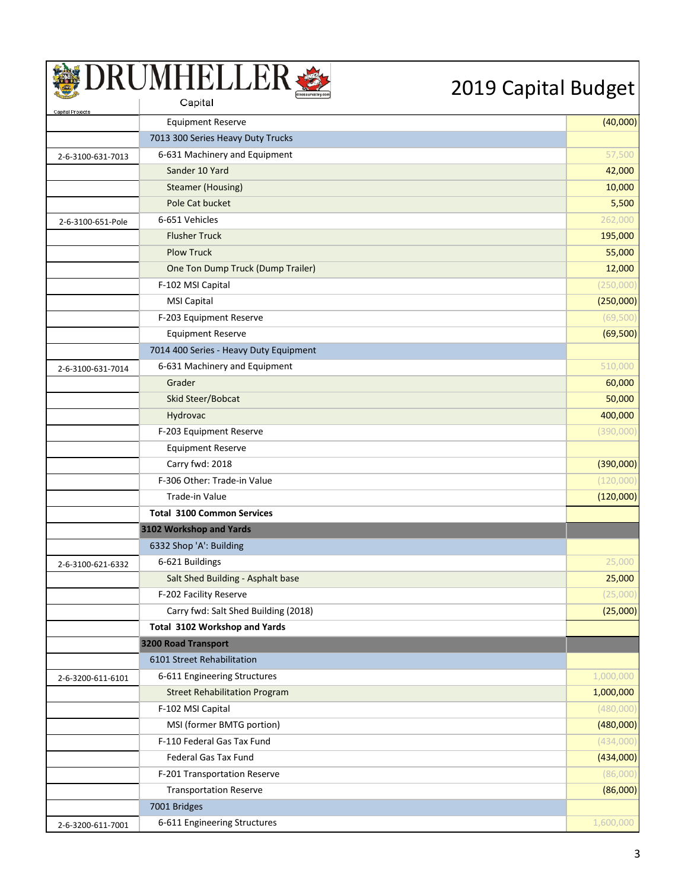| Capital Projects  |                                        |           |
|-------------------|----------------------------------------|-----------|
|                   | <b>Equipment Reserve</b>               | (40,000)  |
|                   | 7013 300 Series Heavy Duty Trucks      |           |
| 2-6-3100-631-7013 | 6-631 Machinery and Equipment          | 57,500    |
|                   | Sander 10 Yard                         | 42,000    |
|                   | Steamer (Housing)                      | 10,000    |
|                   | Pole Cat bucket                        | 5,500     |
| 2-6-3100-651-Pole | 6-651 Vehicles                         | 262,000   |
|                   | <b>Flusher Truck</b>                   | 195,000   |
|                   | <b>Plow Truck</b>                      | 55,000    |
|                   | One Ton Dump Truck (Dump Trailer)      | 12,000    |
|                   | F-102 MSI Capital                      | (250,000) |
|                   | <b>MSI Capital</b>                     | (250,000) |
|                   | F-203 Equipment Reserve                | (69, 500) |
|                   | <b>Equipment Reserve</b>               | (69, 500) |
|                   | 7014 400 Series - Heavy Duty Equipment |           |
| 2-6-3100-631-7014 | 6-631 Machinery and Equipment          | 510,000   |
|                   | Grader                                 | 60,000    |
|                   | Skid Steer/Bobcat                      | 50,000    |
|                   | Hydrovac                               | 400,000   |
|                   | F-203 Equipment Reserve                | (390,000) |
|                   | <b>Equipment Reserve</b>               |           |
|                   | Carry fwd: 2018                        | (390,000) |
|                   | F-306 Other: Trade-in Value            | (120,000) |
|                   | Trade-in Value                         | (120,000) |
|                   | <b>Total 3100 Common Services</b>      |           |
|                   | 3102 Workshop and Yards                |           |
|                   | 6332 Shop 'A': Building                |           |
| 2-6-3100-621-6332 | 6-621 Buildings                        | 25,000    |
|                   | Salt Shed Building - Asphalt base      | 25,000    |
|                   | F-202 Facility Reserve                 | (25,000)  |
|                   | Carry fwd: Salt Shed Building (2018)   | (25,000)  |
|                   | Total 3102 Workshop and Yards          |           |
|                   | 3200 Road Transport                    |           |
|                   | 6101 Street Rehabilitation             |           |
| 2-6-3200-611-6101 | 6-611 Engineering Structures           | 1,000,000 |
|                   | <b>Street Rehabilitation Program</b>   | 1,000,000 |
|                   | F-102 MSI Capital                      | (480,000) |
|                   | MSI (former BMTG portion)              | (480,000) |
|                   | F-110 Federal Gas Tax Fund             | (434,000) |
|                   | Federal Gas Tax Fund                   | (434,000) |
|                   | F-201 Transportation Reserve           | (86,000)  |
|                   | <b>Transportation Reserve</b>          | (86,000)  |
|                   | 7001 Bridges                           |           |
| 2-6-3200-611-7001 | 6-611 Engineering Structures           | 1,600,000 |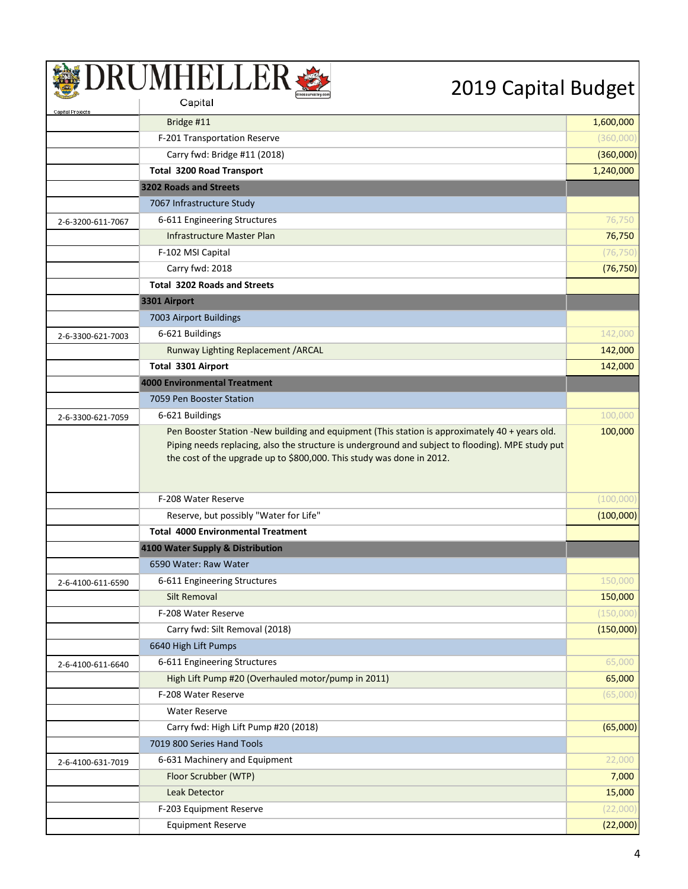| Capital Projects  |                                                                                                                                                                                                                                                                              |           |
|-------------------|------------------------------------------------------------------------------------------------------------------------------------------------------------------------------------------------------------------------------------------------------------------------------|-----------|
|                   | Bridge #11                                                                                                                                                                                                                                                                   | 1,600,000 |
|                   | F-201 Transportation Reserve                                                                                                                                                                                                                                                 | (360,000) |
|                   | Carry fwd: Bridge #11 (2018)                                                                                                                                                                                                                                                 | (360,000) |
|                   | <b>Total 3200 Road Transport</b>                                                                                                                                                                                                                                             | 1,240,000 |
|                   | 3202 Roads and Streets                                                                                                                                                                                                                                                       |           |
|                   | 7067 Infrastructure Study                                                                                                                                                                                                                                                    |           |
| 2-6-3200-611-7067 | 6-611 Engineering Structures                                                                                                                                                                                                                                                 | 76,750    |
|                   | Infrastructure Master Plan                                                                                                                                                                                                                                                   | 76,750    |
|                   | F-102 MSI Capital                                                                                                                                                                                                                                                            | (76, 750) |
|                   | Carry fwd: 2018                                                                                                                                                                                                                                                              | (76, 750) |
|                   | <b>Total 3202 Roads and Streets</b>                                                                                                                                                                                                                                          |           |
|                   | 3301 Airport                                                                                                                                                                                                                                                                 |           |
|                   | 7003 Airport Buildings                                                                                                                                                                                                                                                       |           |
| 2-6-3300-621-7003 | 6-621 Buildings                                                                                                                                                                                                                                                              | 142,000   |
|                   | Runway Lighting Replacement / ARCAL                                                                                                                                                                                                                                          | 142,000   |
|                   | Total 3301 Airport                                                                                                                                                                                                                                                           | 142,000   |
|                   | <b>4000 Environmental Treatment</b>                                                                                                                                                                                                                                          |           |
|                   | 7059 Pen Booster Station                                                                                                                                                                                                                                                     |           |
| 2-6-3300-621-7059 | 6-621 Buildings                                                                                                                                                                                                                                                              | 100,000   |
|                   | Pen Booster Station -New building and equipment (This station is approximately 40 + years old.<br>Piping needs replacing, also the structure is underground and subject to flooding). MPE study put<br>the cost of the upgrade up to \$800,000. This study was done in 2012. | 100,000   |
|                   | F-208 Water Reserve                                                                                                                                                                                                                                                          | (100,000) |
|                   | Reserve, but possibly "Water for Life"                                                                                                                                                                                                                                       | (100,000) |
|                   | <b>Total 4000 Environmental Treatment</b>                                                                                                                                                                                                                                    |           |
|                   | 4100 Water Supply & Distribution                                                                                                                                                                                                                                             |           |
|                   | 6590 Water: Raw Water                                                                                                                                                                                                                                                        |           |
| 2-6-4100-611-6590 | 6-611 Engineering Structures                                                                                                                                                                                                                                                 | 150,000   |
|                   | Silt Removal                                                                                                                                                                                                                                                                 | 150,000   |
|                   | F-208 Water Reserve                                                                                                                                                                                                                                                          | (150,000) |
|                   | Carry fwd: Silt Removal (2018)                                                                                                                                                                                                                                               | (150,000) |
|                   | 6640 High Lift Pumps                                                                                                                                                                                                                                                         |           |
| 2-6-4100-611-6640 | 6-611 Engineering Structures                                                                                                                                                                                                                                                 | 65,000    |
|                   | High Lift Pump #20 (Overhauled motor/pump in 2011)                                                                                                                                                                                                                           | 65,000    |
|                   | F-208 Water Reserve                                                                                                                                                                                                                                                          | (65,000)  |
|                   | <b>Water Reserve</b>                                                                                                                                                                                                                                                         |           |
|                   | Carry fwd: High Lift Pump #20 (2018)                                                                                                                                                                                                                                         | (65,000)  |
|                   | 7019 800 Series Hand Tools                                                                                                                                                                                                                                                   |           |
| 2-6-4100-631-7019 | 6-631 Machinery and Equipment                                                                                                                                                                                                                                                | 22,000    |
|                   | Floor Scrubber (WTP)                                                                                                                                                                                                                                                         | 7,000     |
|                   | Leak Detector                                                                                                                                                                                                                                                                | 15,000    |
|                   | F-203 Equipment Reserve                                                                                                                                                                                                                                                      | (22,000)  |
|                   | <b>Equipment Reserve</b>                                                                                                                                                                                                                                                     | (22,000)  |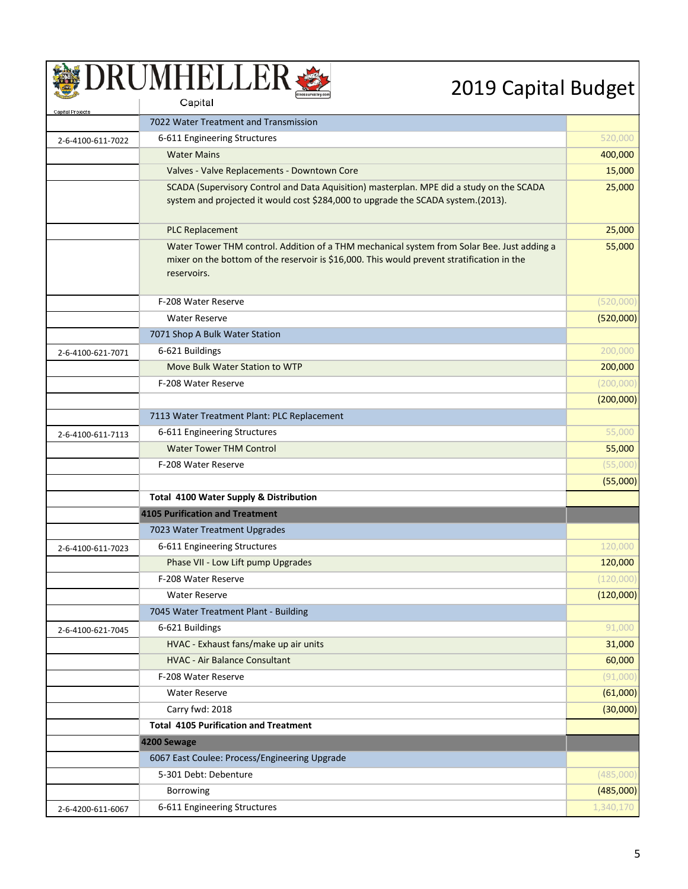### SUMHELLER

| Capital Projects  |                                                                                                                                                                                          |           |
|-------------------|------------------------------------------------------------------------------------------------------------------------------------------------------------------------------------------|-----------|
|                   | 7022 Water Treatment and Transmission                                                                                                                                                    |           |
| 2-6-4100-611-7022 | 6-611 Engineering Structures                                                                                                                                                             | 520,000   |
|                   | <b>Water Mains</b>                                                                                                                                                                       | 400,000   |
|                   | Valves - Valve Replacements - Downtown Core                                                                                                                                              | 15,000    |
|                   | SCADA (Supervisory Control and Data Aquisition) masterplan. MPE did a study on the SCADA                                                                                                 | 25,000    |
|                   | system and projected it would cost \$284,000 to upgrade the SCADA system.(2013).                                                                                                         |           |
|                   | <b>PLC Replacement</b>                                                                                                                                                                   | 25,000    |
|                   |                                                                                                                                                                                          |           |
|                   | Water Tower THM control. Addition of a THM mechanical system from Solar Bee. Just adding a<br>mixer on the bottom of the reservoir is \$16,000. This would prevent stratification in the | 55,000    |
|                   | reservoirs.                                                                                                                                                                              |           |
|                   |                                                                                                                                                                                          |           |
|                   | F-208 Water Reserve                                                                                                                                                                      | (520,000) |
|                   | <b>Water Reserve</b>                                                                                                                                                                     | (520,000) |
|                   | 7071 Shop A Bulk Water Station                                                                                                                                                           |           |
| 2-6-4100-621-7071 | 6-621 Buildings                                                                                                                                                                          | 200,000   |
|                   | Move Bulk Water Station to WTP                                                                                                                                                           | 200,000   |
|                   | F-208 Water Reserve                                                                                                                                                                      | (200,000) |
|                   |                                                                                                                                                                                          | (200,000) |
|                   | 7113 Water Treatment Plant: PLC Replacement                                                                                                                                              |           |
| 2-6-4100-611-7113 | 6-611 Engineering Structures                                                                                                                                                             | 55,000    |
|                   | <b>Water Tower THM Control</b>                                                                                                                                                           | 55,000    |
|                   | F-208 Water Reserve                                                                                                                                                                      | (55,000)  |
|                   |                                                                                                                                                                                          | (55,000)  |
|                   | <b>Total 4100 Water Supply &amp; Distribution</b>                                                                                                                                        |           |
|                   | <b>4105 Purification and Treatment</b>                                                                                                                                                   |           |
|                   | 7023 Water Treatment Upgrades                                                                                                                                                            |           |
| 2-6-4100-611-7023 | 6-611 Engineering Structures                                                                                                                                                             | 120,000   |
|                   | Phase VII - Low Lift pump Upgrades                                                                                                                                                       | 120,000   |
|                   | F-208 Water Reserve                                                                                                                                                                      | (120,000) |
|                   | <b>Water Reserve</b>                                                                                                                                                                     | (120,000) |
|                   | 7045 Water Treatment Plant - Building                                                                                                                                                    |           |
| 2-6-4100-621-7045 | 6-621 Buildings                                                                                                                                                                          | 91,000    |
|                   | HVAC - Exhaust fans/make up air units                                                                                                                                                    | 31,000    |
|                   | <b>HVAC - Air Balance Consultant</b>                                                                                                                                                     | 60,000    |
|                   | F-208 Water Reserve                                                                                                                                                                      | (91,000)  |
|                   | <b>Water Reserve</b>                                                                                                                                                                     | (61,000)  |
|                   | Carry fwd: 2018                                                                                                                                                                          | (30,000)  |
|                   | <b>Total 4105 Purification and Treatment</b>                                                                                                                                             |           |
|                   | 4200 Sewage                                                                                                                                                                              |           |
|                   | 6067 East Coulee: Process/Engineering Upgrade                                                                                                                                            |           |
|                   | 5-301 Debt: Debenture                                                                                                                                                                    | (485,000) |
|                   | Borrowing                                                                                                                                                                                | (485,000) |
| 2-6-4200-611-6067 | 6-611 Engineering Structures                                                                                                                                                             | 1,340,170 |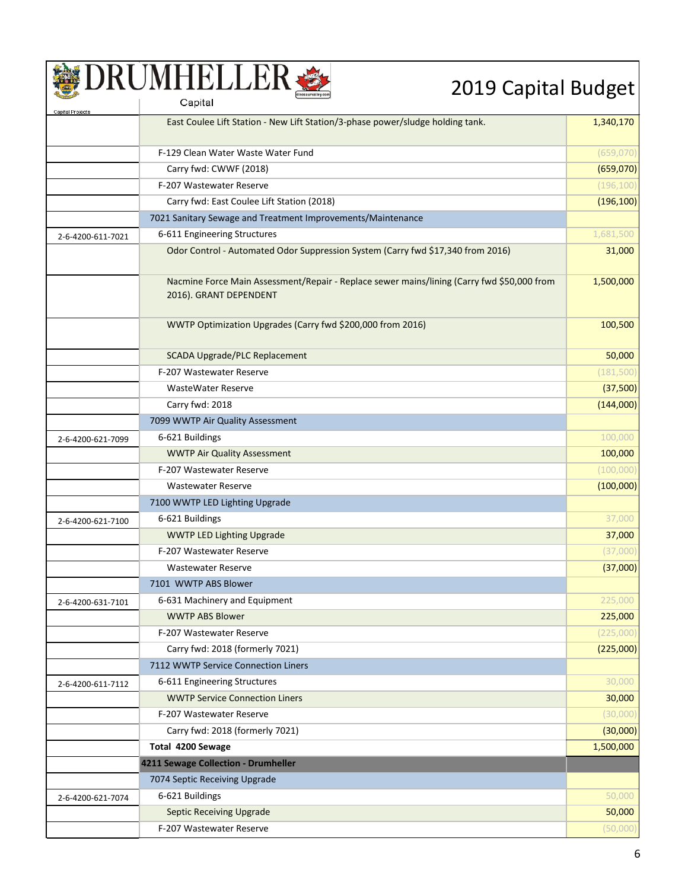| Capital Projects  |                                                                                                                      |            |
|-------------------|----------------------------------------------------------------------------------------------------------------------|------------|
|                   | East Coulee Lift Station - New Lift Station/3-phase power/sludge holding tank.                                       | 1,340,170  |
|                   | F-129 Clean Water Waste Water Fund                                                                                   | (659,070)  |
|                   | Carry fwd: CWWF (2018)                                                                                               | (659,070)  |
|                   | F-207 Wastewater Reserve                                                                                             | (196, 100) |
|                   | Carry fwd: East Coulee Lift Station (2018)                                                                           | (196, 100) |
|                   | 7021 Sanitary Sewage and Treatment Improvements/Maintenance                                                          |            |
| 2-6-4200-611-7021 | 6-611 Engineering Structures                                                                                         | 1,681,500  |
|                   | Odor Control - Automated Odor Suppression System (Carry fwd \$17,340 from 2016)                                      | 31,000     |
|                   |                                                                                                                      |            |
|                   | Nacmine Force Main Assessment/Repair - Replace sewer mains/lining (Carry fwd \$50,000 from<br>2016). GRANT DEPENDENT | 1,500,000  |
|                   |                                                                                                                      |            |
|                   | WWTP Optimization Upgrades (Carry fwd \$200,000 from 2016)                                                           | 100,500    |
|                   | <b>SCADA Upgrade/PLC Replacement</b>                                                                                 | 50,000     |
|                   | F-207 Wastewater Reserve                                                                                             | (181, 500) |
|                   | <b>WasteWater Reserve</b>                                                                                            | (37,500)   |
|                   | Carry fwd: 2018                                                                                                      | (144,000)  |
|                   | 7099 WWTP Air Quality Assessment                                                                                     |            |
| 2-6-4200-621-7099 | 6-621 Buildings                                                                                                      | 100,000    |
|                   | <b>WWTP Air Quality Assessment</b>                                                                                   | 100,000    |
|                   | F-207 Wastewater Reserve                                                                                             | (100,000)  |
|                   | <b>Wastewater Reserve</b>                                                                                            | (100,000)  |
|                   | 7100 WWTP LED Lighting Upgrade                                                                                       |            |
| 2-6-4200-621-7100 | 6-621 Buildings                                                                                                      | 37,000     |
|                   | <b>WWTP LED Lighting Upgrade</b>                                                                                     | 37,000     |
|                   | F-207 Wastewater Reserve                                                                                             | (37,000)   |
|                   | <b>Wastewater Reserve</b>                                                                                            | (37,000)   |
|                   | 7101 WWTP ABS Blower                                                                                                 |            |
| 2-6-4200-631-7101 | 6-631 Machinery and Equipment                                                                                        | 225,000    |
|                   | <b>WWTP ABS Blower</b>                                                                                               | 225,000    |
|                   | F-207 Wastewater Reserve                                                                                             | (225,000)  |
|                   | Carry fwd: 2018 (formerly 7021)                                                                                      | (225,000)  |
|                   | 7112 WWTP Service Connection Liners                                                                                  |            |
| 2-6-4200-611-7112 | 6-611 Engineering Structures                                                                                         | 30,000     |
|                   | <b>WWTP Service Connection Liners</b>                                                                                | 30,000     |
|                   | F-207 Wastewater Reserve                                                                                             | (30,000)   |
|                   | Carry fwd: 2018 (formerly 7021)                                                                                      | (30,000)   |
|                   | Total 4200 Sewage                                                                                                    | 1,500,000  |
|                   | 4211 Sewage Collection - Drumheller                                                                                  |            |
|                   | 7074 Septic Receiving Upgrade                                                                                        |            |
| 2-6-4200-621-7074 | 6-621 Buildings                                                                                                      | 50,000     |
|                   | <b>Septic Receiving Upgrade</b>                                                                                      | 50,000     |
|                   | F-207 Wastewater Reserve                                                                                             | (50,000)   |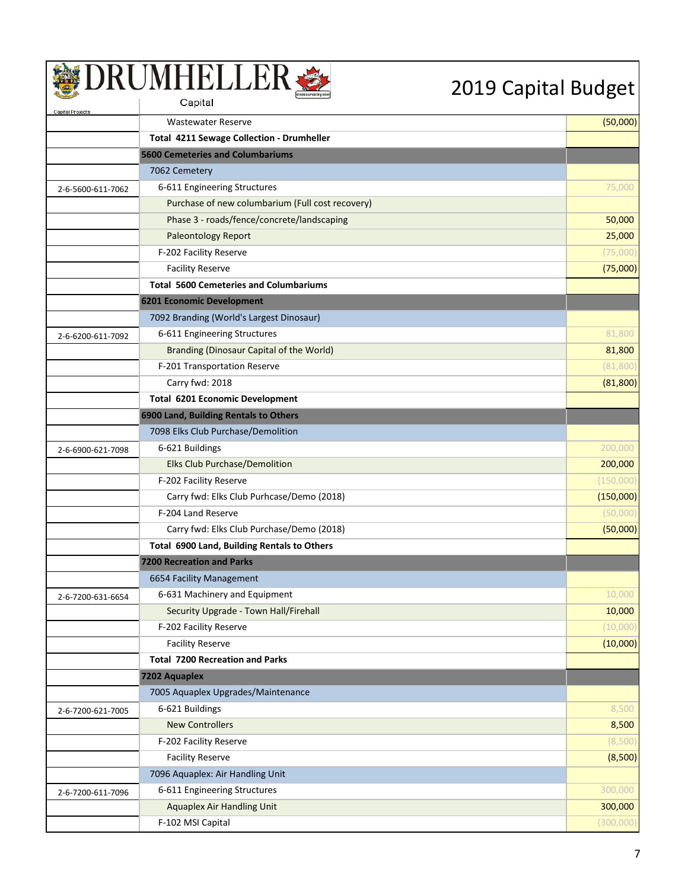| Capital Projects  |                                                  |           |
|-------------------|--------------------------------------------------|-----------|
|                   | <b>Wastewater Reserve</b>                        | (50,000)  |
|                   | Total 4211 Sewage Collection - Drumheller        |           |
|                   | <b>5600 Cemeteries and Columbariums</b>          |           |
|                   | 7062 Cemetery                                    |           |
| 2-6-5600-611-7062 | 6-611 Engineering Structures                     | 75,000    |
|                   | Purchase of new columbarium (Full cost recovery) |           |
|                   | Phase 3 - roads/fence/concrete/landscaping       | 50,000    |
|                   | <b>Paleontology Report</b>                       | 25,000    |
|                   | F-202 Facility Reserve                           | (75,000)  |
|                   | <b>Facility Reserve</b>                          | (75,000)  |
|                   | <b>Total 5600 Cemeteries and Columbariums</b>    |           |
|                   | 6201 Economic Development                        |           |
|                   | 7092 Branding (World's Largest Dinosaur)         |           |
| 2-6-6200-611-7092 | 6-611 Engineering Structures                     | 81,800    |
|                   | Branding (Dinosaur Capital of the World)         | 81,800    |
|                   | F-201 Transportation Reserve                     | (81, 800) |
|                   | Carry fwd: 2018                                  | (81, 800) |
|                   | <b>Total 6201 Economic Development</b>           |           |
|                   | 6900 Land, Building Rentals to Others            |           |
|                   | 7098 Elks Club Purchase/Demolition               |           |
| 2-6-6900-621-7098 | 6-621 Buildings                                  | 200,000   |
|                   | <b>Elks Club Purchase/Demolition</b>             | 200,000   |
|                   | F-202 Facility Reserve                           | (150,000) |
|                   | Carry fwd: Elks Club Purhcase/Demo (2018)        | (150,000) |
|                   | F-204 Land Reserve                               | (50,000)  |
|                   | Carry fwd: Elks Club Purchase/Demo (2018)        | (50,000)  |
|                   | Total 6900 Land, Building Rentals to Others      |           |
|                   | <b>7200 Recreation and Parks</b>                 |           |
|                   | 6654 Facility Management                         |           |
| 2-6-7200-631-6654 | 6-631 Machinery and Equipment                    | 10,000    |
|                   | Security Upgrade - Town Hall/Firehall            | 10,000    |
|                   | F-202 Facility Reserve                           | (10,000)  |
|                   | <b>Facility Reserve</b>                          | (10,000)  |
|                   | <b>Total 7200 Recreation and Parks</b>           |           |
|                   | 7202 Aquaplex                                    |           |
|                   | 7005 Aquaplex Upgrades/Maintenance               |           |
| 2-6-7200-621-7005 | 6-621 Buildings                                  | 8,500     |
|                   | <b>New Controllers</b>                           | 8,500     |
|                   | F-202 Facility Reserve                           | (8,500)   |
|                   | <b>Facility Reserve</b>                          | (8,500)   |
|                   | 7096 Aquaplex: Air Handling Unit                 |           |
| 2-6-7200-611-7096 | 6-611 Engineering Structures                     | 300,000   |
|                   | <b>Aquaplex Air Handling Unit</b>                | 300,000   |
|                   | F-102 MSI Capital                                | (300,000) |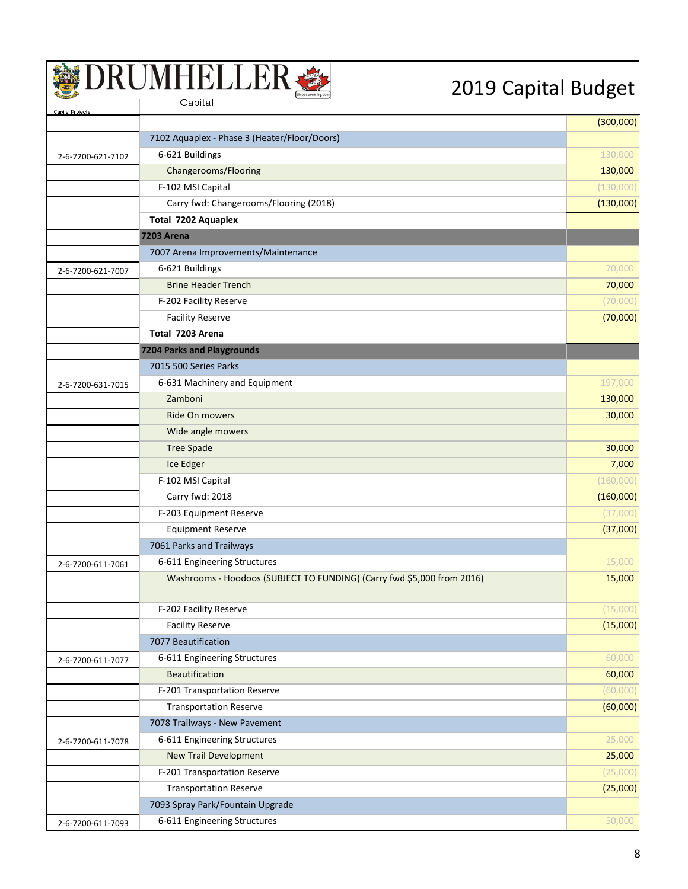| Capital Projects  |                                                                        | (300,000) |
|-------------------|------------------------------------------------------------------------|-----------|
|                   | 7102 Aquaplex - Phase 3 (Heater/Floor/Doors)                           |           |
| 2-6-7200-621-7102 | 6-621 Buildings                                                        | 130,000   |
|                   | Changerooms/Flooring                                                   | 130,000   |
|                   | F-102 MSI Capital                                                      | (130,000) |
|                   | Carry fwd: Changerooms/Flooring (2018)                                 | (130,000) |
|                   | Total 7202 Aquaplex                                                    |           |
|                   | <b>7203 Arena</b>                                                      |           |
|                   | 7007 Arena Improvements/Maintenance                                    |           |
| 2-6-7200-621-7007 | 6-621 Buildings                                                        | 70,000    |
|                   | <b>Brine Header Trench</b>                                             | 70,000    |
|                   | F-202 Facility Reserve                                                 | (70,000)  |
|                   | <b>Facility Reserve</b>                                                | (70,000)  |
|                   | Total 7203 Arena                                                       |           |
|                   | <b>7204 Parks and Playgrounds</b>                                      |           |
|                   | 7015 500 Series Parks                                                  |           |
| 2-6-7200-631-7015 | 6-631 Machinery and Equipment                                          | 197,000   |
|                   | Zamboni                                                                | 130,000   |
|                   | <b>Ride On mowers</b>                                                  | 30,000    |
|                   | Wide angle mowers                                                      |           |
|                   | <b>Tree Spade</b>                                                      | 30,000    |
|                   | Ice Edger                                                              | 7,000     |
|                   | F-102 MSI Capital                                                      | (160,000) |
|                   | Carry fwd: 2018                                                        | (160,000) |
|                   | F-203 Equipment Reserve                                                | (37,000)  |
|                   | <b>Equipment Reserve</b>                                               | (37,000)  |
|                   | 7061 Parks and Trailways                                               |           |
| 2-6-7200-611-7061 | 6-611 Engineering Structures                                           | 15,000    |
|                   | Washrooms - Hoodoos (SUBJECT TO FUNDING) (Carry fwd \$5,000 from 2016) | 15,000    |
|                   | F-202 Facility Reserve                                                 | (15,000)  |
|                   | <b>Facility Reserve</b>                                                | (15,000)  |
|                   | 7077 Beautification                                                    |           |
| 2-6-7200-611-7077 | 6-611 Engineering Structures                                           | 60,000    |
|                   | <b>Beautification</b>                                                  | 60,000    |
|                   | F-201 Transportation Reserve                                           | (60,000)  |
|                   | <b>Transportation Reserve</b>                                          | (60,000)  |
|                   | 7078 Trailways - New Pavement                                          |           |
| 2-6-7200-611-7078 | 6-611 Engineering Structures                                           | 25,000    |
|                   | <b>New Trail Development</b>                                           | 25,000    |
|                   | F-201 Transportation Reserve                                           | (25,000)  |
|                   | <b>Transportation Reserve</b>                                          | (25,000)  |
|                   | 7093 Spray Park/Fountain Upgrade                                       |           |
| 2-6-7200-611-7093 | 6-611 Engineering Structures                                           | 50,000    |